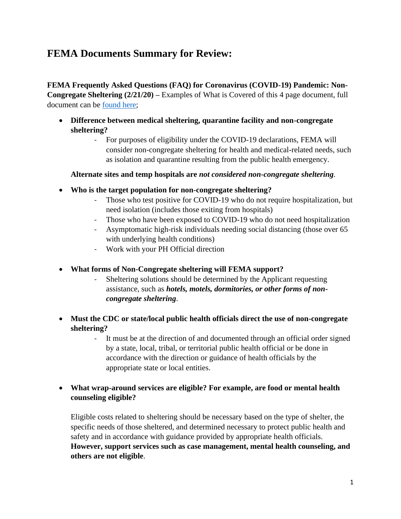# **FEMA Documents Summary for Review:**

**FEMA Frequently Asked Questions (FAQ) for Coronavirus (COVID-19) Pandemic: Non-Congregate Sheltering (2/21/20) –** Examples of What is Covered of this 4 page document, full document can be [found here;](https://www.oregon.gov/ohcs/get-involved/Documents/committees/HTF/07-27-20-COVID19-NonCongregate-Shelter-FAQ.pdf)

- **Difference between medical sheltering, quarantine facility and non-congregate sheltering?** 
	- For purposes of eligibility under the COVID-19 declarations, FEMA will consider non-congregate sheltering for health and medical-related needs, such as isolation and quarantine resulting from the public health emergency.

#### **Alternate sites and temp hospitals are** *not considered non-congregate sheltering.*

- **Who is the target population for non-congregate sheltering?**
	- Those who test positive for COVID-19 who do not require hospitalization, but need isolation (includes those exiting from hospitals)
	- Those who have been exposed to COVID-19 who do not need hospitalization
	- Asymptomatic high-risk individuals needing social distancing (those over 65 with underlying health conditions)
	- Work with your PH Official direction
- **What forms of Non-Congregate sheltering will FEMA support?** 
	- Sheltering solutions should be determined by the Applicant requesting assistance, such as *hotels, motels, dormitories, or other forms of noncongregate sheltering*.
- **Must the CDC or state/local public health officials direct the use of non-congregate sheltering?** 
	- It must be at the direction of and documented through an official order signed by a state, local, tribal, or territorial public health official or be done in accordance with the direction or guidance of health officials by the appropriate state or local entities.
- **What wrap-around services are eligible? For example, are food or mental health counseling eligible?**

Eligible costs related to sheltering should be necessary based on the type of shelter, the specific needs of those sheltered, and determined necessary to protect public health and safety and in accordance with guidance provided by appropriate health officials. **However, support services such as case management, mental health counseling, and others are not eligible**.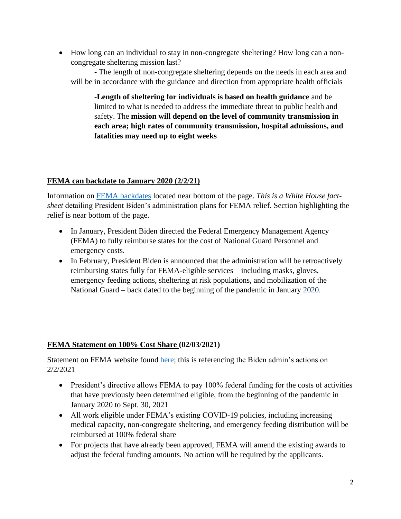• How long can an individual to stay in non-congregate sheltering? How long can a noncongregate sheltering mission last?

- The length of non-congregate sheltering depends on the needs in each area and will be in accordance with the guidance and direction from appropriate health officials

-**Length of sheltering for individuals is based on health guidance** and be limited to what is needed to address the immediate threat to public health and safety. The **mission will depend on the level of community transmission in each area; high rates of community transmission, hospital admissions, and fatalities may need up to eight weeks**

# **FEMA can backdate to January 2020 (2/2/21)**

Information on FEMA [backdates](https://www.whitehouse.gov/briefing-room/statements-releases/2021/02/02/fact-sheet-president-biden-announces-increased-vaccine-supply-initial-launch-of-the-federal-retail-pharmacy-program-and-expansion-of-fema-reimbursement-to-states/) located near bottom of the page. *This is a White House factsheet* detailing President Biden's administration plans for FEMA relief. Section highlighting the relief is near bottom of the page.

- In January, President Biden directed the Federal Emergency Management Agency (FEMA) to fully reimburse states for the cost of National Guard Personnel and emergency costs.
- In February, President Biden is announced that the administration will be retroactively reimbursing states fully for FEMA-eligible services – including masks, gloves, emergency feeding actions, sheltering at risk populations, and mobilization of the National Guard – back dated to the beginning of the pandemic in January 2020.

#### **[FEMA Statement on 100% Cost Share](https://www.fema.gov/press-release/20210203/fema-statement-100-cost-share) (02/03/2021)**

Statement on FEMA website found [here;](https://www.fema.gov/press-release/20210203/fema-statement-100-cost-share) this is referencing the Biden admin's actions on 2/2/2021

- President's directive allows FEMA to pay 100% federal funding for the costs of activities that have previously been determined eligible, from the beginning of the pandemic in January 2020 to Sept. 30, 2021
- All work eligible under FEMA's existing COVID-19 policies, including increasing medical capacity, non-congregate sheltering, and emergency feeding distribution will be reimbursed at 100% federal share
- For projects that have already been approved, FEMA will amend the existing awards to adjust the federal funding amounts. No action will be required by the applicants.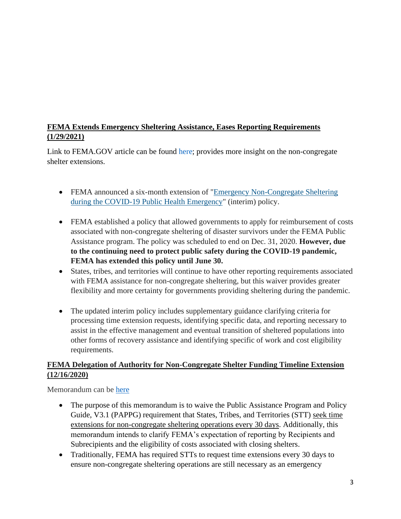# **FEMA Extends Emergency Sheltering Assistance, Eases Reporting Requirements (1/29/2021)**

Link to FEMA.GOV article can be found [here;](https://www.fema.gov/press-release/20210129/fema-extends-emergency-sheltering-assistance-eases-reporting-requirements) provides more insight on the non-congregate shelter extensions.

- FEMA announced a six-month extension of "Emergency Non-Congregate Sheltering [during the COVID-19 Public Health Emergency"](https://www.fema.gov/disasters/coronavirus/governments#policies) (interim) policy.
- FEMA established a policy that allowed governments to apply for reimbursement of costs associated with non-congregate sheltering of disaster survivors under the FEMA Public Assistance program. The policy was scheduled to end on Dec. 31, 2020. **However, due to the continuing need to protect public safety during the COVID-19 pandemic, FEMA has extended this policy until June 30.**
- States, tribes, and territories will continue to have other reporting requirements associated with FEMA assistance for non-congregate sheltering, but this waiver provides greater flexibility and more certainty for governments providing sheltering during the pandemic.
- The updated interim policy includes supplementary guidance clarifying criteria for processing time extension requests, identifying specific data, and reporting necessary to assist in the effective management and eventual transition of sheltered populations into other forms of recovery assistance and identifying specific of work and cost eligibility requirements.

# **FEMA Delegation of Authority for Non-Congregate Shelter Funding Timeline Extension (12/16/2020)**

Memorandum can be [here](https://www-auth.oregon.gov/ohcs/get-involved/Documents/committees/HTF/121620%20-Update-to-Non-Congregate-Sheltering-Delegation-of-Authority-Waiver-Memo.pdf)

- The purpose of this memorandum is to waive the Public Assistance Program and Policy Guide, V3.1 (PAPPG) requirement that States, Tribes, and Territories (STT) seek time extensions for non-congregate sheltering operations every 30 days. Additionally, this memorandum intends to clarify FEMA's expectation of reporting by Recipients and Subrecipients and the eligibility of costs associated with closing shelters.
- Traditionally, FEMA has required STTs to request time extensions every 30 days to ensure non-congregate sheltering operations are still necessary as an emergency